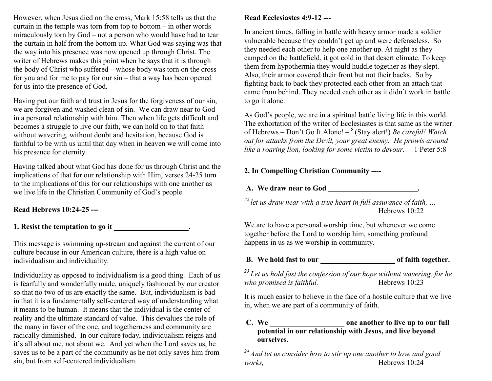However, when Jesus died on the cross, Mark 15:58 tells us that the curtain in the temple was torn from top to bottom – in other words miraculously torn by God – not a person who would have had to tear the curtain in half from the bottom up. What God was saying was that the way into his presence was now opened up through Christ. The writer of Hebrews makes this point when he says that it is through the body of Christ who suffered – whose body was torn on the cross for you and for me to pay for our sin – that a way has been opened for us into the presence of God.

Having put our faith and trust in Jesus for the forgiveness of our sin, we are forgiven and washed clean of sin. We can draw near to God in a personal relationship with him. Then when life gets difficult and becomes a struggle to live our faith, we can hold on to that faith without wavering, without doubt and hesitation, because God is faithful to be with us until that day when in heaven we will come into his presence for eternity.

Having talked about what God has done for us through Christ and the implications of that for our relationship with Him, verses 24-25 turn to the implications of this for our relationships with one another as we live life in the Christian Community of God's people.

#### **Read Hebrews 10:24-25 ---**

**1. Resist the temptation to go it \_\_\_\_\_\_\_\_\_\_\_\_\_\_\_\_\_\_\_\_.** 

This message is swimming up-stream and against the current of our culture because in our American culture, there is a high value on individualism and individuality.

Individuality as opposed to individualism is a good thing. Each of us is fearfully and wonderfully made, uniquely fashioned by our creator so that no two of us are exactly the same. But, individualism is bad in that it is a fundamentally self-centered way of understanding what it means to be human. It means that the individual is the center of reality and the ultimate standard of value. This devalues the role of the many in favor of the one, and togetherness and community are radically diminished. In our culture today, individualism reigns and it's all about me, not about we. And yet when the Lord saves us, he saves us to be a part of the community as he not only saves him from sin, but from self-centered individualism.

# **Read Ecclesiastes 4:9-12 ---**

In ancient times, falling in battle with heavy armor made a soldier vulnerable because they couldn't get up and were defenseless. So they needed each other to help one another up. At night as they camped on the battlefield, it got cold in that desert climate. To keep them from hypothermia they would huddle together as they slept. Also, their armor covered their front but not their backs. So by fighting back to back they protected each other from an attach that came from behind. They needed each other as it didn't work in battle to go it alone.

As God's people, we are in a spiritual battle living life in this world. The exhortation of the writer of Ecclesiastes is that same as the writer of Hebrews – Don't Go It Alone! – <sup>8</sup>(Stay alert!) *Be careful! Watch out for attacks from the Devil, your great enemy. He prowls around like a roaring lion, looking for some victim to devour.* 1 Peter 5:8

## **2. In Compelling Christian Community ----**

**A. We draw near to God \_\_\_\_\_\_\_\_\_\_\_\_\_\_\_\_\_\_\_\_\_\_\_\_.** 

*<sup>22</sup>let us draw near with a true heart in full assurance of faith, …* Hebrews 10:22

We are to have a personal worship time, but whenever we come together before the Lord to worship him, something profound happens in us as we worship in community.

### **B. We hold fast to our \_\_\_\_\_\_\_\_\_\_\_\_\_\_\_\_\_\_\_\_ of faith together.**

*<sup>23</sup>Let us hold fast the confession of our hope without wavering, for he who promised is faithful.* Hebrews 10:23

It is much easier to believe in the face of a hostile culture that we live in, when we are part of a community of faith.

#### **C. We \_\_\_\_\_\_\_\_\_\_\_\_\_\_\_\_\_\_\_\_ one another to live up to our full potential in our relationship with Jesus, and live beyond ourselves.**

*<sup>24</sup>And let us consider how to stir up one another to love and good works,* Hebrews 10:24